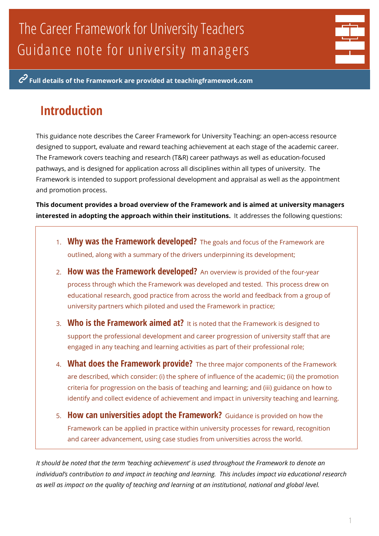# The Career Framework for University Teachers Guidance note for univ ersity m anagers

**Full details of the Framework are provided at teachingframework.com**

# **Introduction**

This guidance note describes the Career Framework for University Teaching: an open-access resource designed to support, evaluate and reward teaching achievement at each stage of the academic career. The Framework covers teaching and research (T&R) career pathways as well as education-focused pathways, and is designed for application across all disciplines within all types of university. The Framework is intended to support professional development and appraisal as well as the appointment and promotion process.

**This document provides a broad overview of the Framework and is aimed at university managers interested in adopting the approach within their institutions.** It addresses the following questions:

- 1. **Why was the Framework developed?** The goals and focus of the Framework are outlined, along with a summary of the drivers underpinning its development;
- 2. **How was the Framework developed?** An overview is provided of the four-year process through which the Framework was developed and tested. This process drew on educational research, good practice from across the world and feedback from a group of university partners which piloted and used the Framework in practice;
- 3. **Who is the Framework aimed at?** It is noted that the Framework is designed to support the professional development and career progression of university staff that are engaged in any teaching and learning activities as part of their professional role;
- 4. **What does the Framework provide?** The three major components of the Framework are described, which consider: (i) the sphere of influence of the academic; (ii) the promotion criteria for progression on the basis of teaching and learning; and (iii) guidance on how to identify and collect evidence of achievement and impact in university teaching and learning.
- 5. **How can universities adopt the Framework?** Guidance is provided on how the Framework can be applied in practice within university processes for reward, recognition and career advancement, using case studies from universities across the world.

*It should be noted that the term 'teaching achievement' is used throughout the Framework to denote an individual's contribution to and impact in teaching and learning. This includes impact via educational research as well as impact on the quality of teaching and learning at an institutional, national and global level.*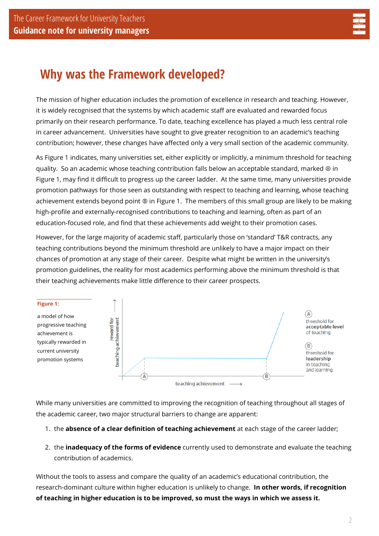

# **Why was the Framework developed?**

The mission of higher education includes the promotion of excellence in research and teaching. However, it is widely recognised that the systems by which academic staff are evaluated and rewarded focus primarily on their research performance. To date, teaching excellence has played a much less central role in career advancement. Universities have sought to give greater recognition to an academic's teaching contribution; however, these changes have affected only a very small section of the academic community.

As Figure 1 indicates, many universities set, either explicitly or implicitly, a minimum threshold for teaching quality. So an academic whose teaching contribution falls below an acceptable standard, marked Ⓐ in Figure 1, may find it difficult to progress up the career ladder. At the same time, many universities provide promotion pathways for those seen as outstanding with respect to teaching and learning, whose teaching achievement extends beyond point ® in Figure 1. The members of this small group are likely to be making high-profile and externally-recognised contributions to teaching and learning, often as part of an education-focused role, and find that these achievements add weight to their promotion cases.

However, for the large majority of academic staff, particularly those on 'standard' T&R contracts, any teaching contributions beyond the minimum threshold are unlikely to have a major impact on their chances of promotion at any stage of their career. Despite what might be written in the university's promotion guidelines, the reality for most academics performing above the minimum threshold is that their teaching achievements make little difference to their career prospects.



While many universities are committed to improving the recognition of teaching throughout all stages of the academic career, two major structural barriers to change are apparent:

- 1. the **absence of a clear definition of teaching achievement** at each stage of the career ladder;
- 2. the **inadequacy of the forms of evidence** currently used to demonstrate and evaluate the teaching contribution of academics.

Without the tools to assess and compare the quality of an academic's educational contribution, the research-dominant culture within higher education is unlikely to change. **In other words, if recognition of teaching in higher education is to be improved, so must the ways in which we assess it.**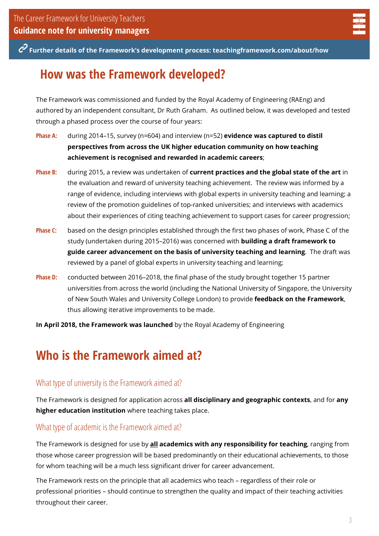

**Further details of the Framework's development process: teachingframework.com/about/how**

### **How was the Framework developed?**

The Framework was commissioned and funded by the Royal Academy of Engineering (RAEng) and authored by an independent consultant, Dr Ruth Graham. As outlined below, it was developed and tested through a phased process over the course of four years:

- **Phase A:** during 2014–15, survey (n=604) and interview (n=52) **evidence was captured to distil perspectives from across the UK higher education community on how teaching achievement is recognised and rewarded in academic careers**;
- **Phase B:** during 2015, a review was undertaken of **current practices and the global state of the art** in the evaluation and reward of university teaching achievement. The review was informed by a range of evidence, including interviews with global experts in university teaching and learning; a review of the promotion guidelines of top-ranked universities; and interviews with academics about their experiences of citing teaching achievement to support cases for career progression;
- **Phase C:** based on the design principles established through the first two phases of work, Phase C of the study (undertaken during 2015–2016) was concerned with **building a draft framework to guide career advancement on the basis of university teaching and learning**. The draft was reviewed by a panel of global experts in university teaching and learning;
- **Phase D:** conducted between 2016–2018, the final phase of the study brought together 15 partner universities from across the world (including the National University of Singapore, the University of New South Wales and University College London) to provide **feedback on the Framework**, thus allowing iterative improvements to be made.

**In April 2018, the Framework was launched** by the Royal Academy of Engineering

### **Who is the Framework aimed at?**

### What type of university is the Framework aimed at?

The Framework is designed for application across **all disciplinary and geographic contexts**, and for **any higher education institution** where teaching takes place.

#### What type of academic is the Framework aimed at?

The Framework is designed for use by **all academics with any responsibility for teaching**, ranging from those whose career progression will be based predominantly on their educational achievements, to those for whom teaching will be a much less significant driver for career advancement.

The Framework rests on the principle that all academics who teach – regardless of their role or professional priorities – should continue to strengthen the quality and impact of their teaching activities throughout their career.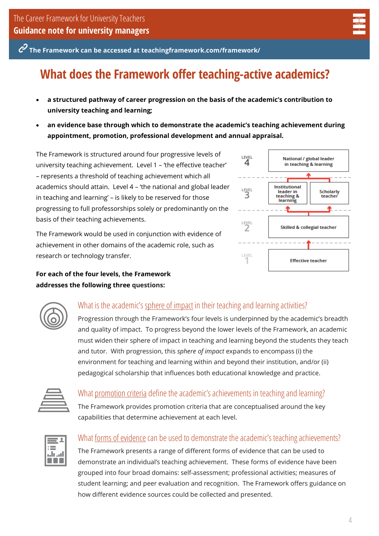**The Framework can be accessed at teachingframework.com/framework/**

# **What does the Framework offer teaching-active academics?**

- **a structured pathway of career progression on the basis of the academic's contribution to university teaching and learning;**
- **an evidence base through which to demonstrate the academic's teaching achievement during appointment, promotion, professional development and annual appraisal.**

The Framework is structured around four progressive levels of university teaching achievement.Level 1 – 'the effective teacher' – represents a threshold of teaching achievement which all academics should attain. Level 4 – 'the national and global leader in teaching and learning' – is likely to be reserved for those progressing to full professorships solely or predominantly on the basis of their teaching achievements.

The Framework would be used in conjunction with evidence of achievement in other domains of the academic role, such as research or technology transfer.

**For each of the four levels, the Framework addresses the following three questions:**





### What is the academic's sphere of impact in their teaching and learning activities?

Progression through the Framework's four levels is underpinned by the academic's breadth and quality of impact. To progress beyond the lower levels of the Framework, an academic must widen their sphere of impact in teaching and learning beyond the students they teach and tutor. With progression, this *sphere of impact* expands to encompass (i) the environment for teaching and learning within and beyond their institution, and/or (ii) pedagogical scholarship that influences both educational knowledge and practice.



### What promotion criteria define the academic's achievements in teaching and learning?

The Framework provides promotion criteria that are conceptualised around the key capabilities that determine achievement at each level.



### What <u>forms of evidence</u> can be used to demonstrate the academic's teaching achievements?

The Framework presents a range of different forms of evidence that can be used to demonstrate an individual's teaching achievement. These forms of evidence have been grouped into four broad domains: self-assessment; professional activities; measures of student learning; and peer evaluation and recognition. The Framework offers guidance on how different evidence sources could be collected and presented.